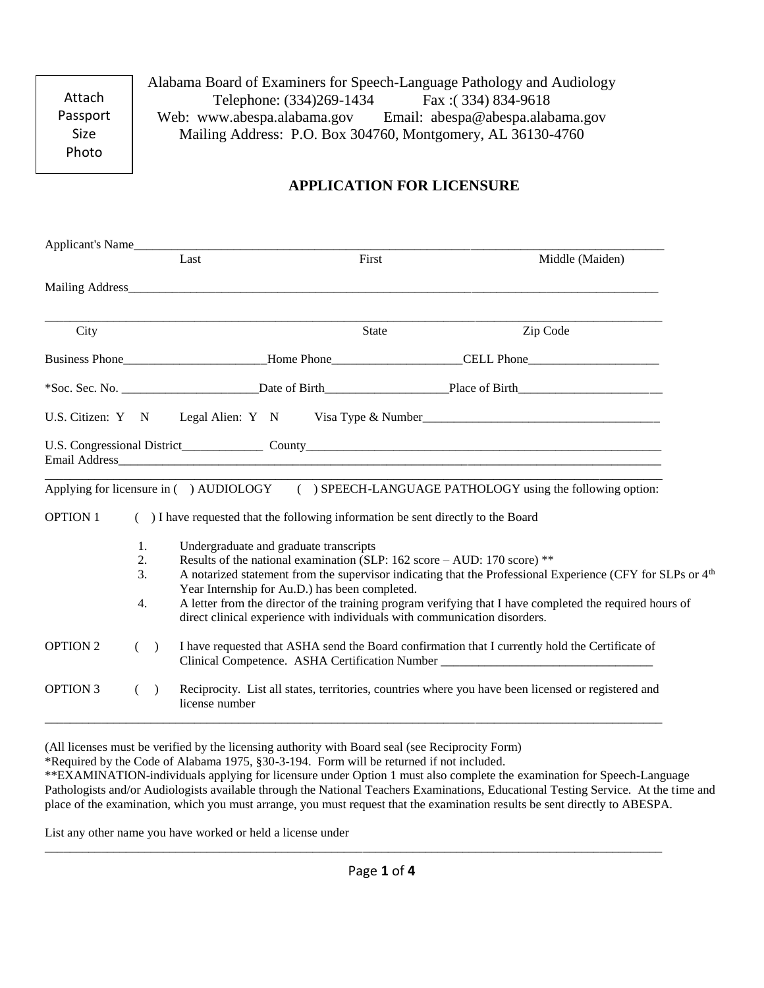Attach Passport Size Photo

Alabama Board of Examiners for Speech-Language Pathology and Audiology Telephone: (334)269-1434 Fax :( 334) 834-9618 Web: www.abespa.alabama.gov Email: abespa@abespa.alabama.gov Mailing Address: P.O. Box 304760, Montgomery, AL 36130-4760

# **APPLICATION FOR LICENSURE**

| Applicant's Name |                      |                                                                                                                                                                                                                                                                                                                                                                                                                                                                                             |                                                                                                                                                                                     |                                                                                  |  |                                                                                                 |
|------------------|----------------------|---------------------------------------------------------------------------------------------------------------------------------------------------------------------------------------------------------------------------------------------------------------------------------------------------------------------------------------------------------------------------------------------------------------------------------------------------------------------------------------------|-------------------------------------------------------------------------------------------------------------------------------------------------------------------------------------|----------------------------------------------------------------------------------|--|-------------------------------------------------------------------------------------------------|
|                  |                      |                                                                                                                                                                                                                                                                                                                                                                                                                                                                                             | Last                                                                                                                                                                                | First                                                                            |  | Middle (Maiden)                                                                                 |
|                  |                      |                                                                                                                                                                                                                                                                                                                                                                                                                                                                                             |                                                                                                                                                                                     |                                                                                  |  |                                                                                                 |
| City             |                      |                                                                                                                                                                                                                                                                                                                                                                                                                                                                                             |                                                                                                                                                                                     | <b>State</b>                                                                     |  | Zip Code                                                                                        |
|                  |                      | Business Phone___________________________Home Phone_____________________CELL Phone____________________________                                                                                                                                                                                                                                                                                                                                                                              |                                                                                                                                                                                     |                                                                                  |  |                                                                                                 |
|                  |                      |                                                                                                                                                                                                                                                                                                                                                                                                                                                                                             |                                                                                                                                                                                     |                                                                                  |  |                                                                                                 |
|                  |                      |                                                                                                                                                                                                                                                                                                                                                                                                                                                                                             |                                                                                                                                                                                     |                                                                                  |  | U.S. Citizen: Y N Legal Alien: Y N Visa Type & Number                                           |
|                  |                      |                                                                                                                                                                                                                                                                                                                                                                                                                                                                                             |                                                                                                                                                                                     |                                                                                  |  |                                                                                                 |
|                  |                      |                                                                                                                                                                                                                                                                                                                                                                                                                                                                                             |                                                                                                                                                                                     |                                                                                  |  | Applying for licensure in () AUDIOLOGY () SPEECH-LANGUAGE PATHOLOGY using the following option: |
| <b>OPTION 1</b>  |                      |                                                                                                                                                                                                                                                                                                                                                                                                                                                                                             |                                                                                                                                                                                     | () I have requested that the following information be sent directly to the Board |  |                                                                                                 |
|                  | 1.<br>2.<br>3.<br>4. | Undergraduate and graduate transcripts<br>Results of the national examination (SLP: $162$ score - AUD: $170$ score) **<br>A notarized statement from the supervisor indicating that the Professional Experience (CFY for SLPs or 4 <sup>th</sup><br>Year Internship for Au.D.) has been completed.<br>A letter from the director of the training program verifying that I have completed the required hours of<br>direct clinical experience with individuals with communication disorders. |                                                                                                                                                                                     |                                                                                  |  |                                                                                                 |
| <b>OPTION 2</b>  | $\left($             | $\rightarrow$                                                                                                                                                                                                                                                                                                                                                                                                                                                                               | I have requested that ASHA send the Board confirmation that I currently hold the Certificate of<br>Clinical Competence. ASHA Certification Number _________________________________ |                                                                                  |  |                                                                                                 |
| <b>OPTION 3</b>  | $\left($             | $\lambda$                                                                                                                                                                                                                                                                                                                                                                                                                                                                                   | Reciprocity. List all states, territories, countries where you have been licensed or registered and<br>license number                                                               |                                                                                  |  |                                                                                                 |

(All licenses must be verified by the licensing authority with Board seal (see Reciprocity Form)

\*Required by the Code of Alabama 1975, §30-3-194. Form will be returned if not included.

\*\*EXAMINATION-individuals applying for licensure under Option 1 must also complete the examination for Speech-Language Pathologists and/or Audiologists available through the National Teachers Examinations, Educational Testing Service. At the time and place of the examination, which you must arrange, you must request that the examination results be sent directly to ABESPA.

List any other name you have worked or held a license under

\_\_\_\_\_\_\_\_\_\_\_\_\_\_\_\_\_\_\_\_\_\_\_\_\_\_\_\_\_\_\_\_\_\_\_\_\_\_\_\_\_\_\_\_\_\_\_\_\_\_\_\_\_\_\_\_\_\_\_\_\_\_\_\_\_\_\_\_\_\_\_\_\_\_\_\_\_\_\_\_\_\_\_\_\_\_\_\_\_\_\_\_\_\_\_\_\_\_\_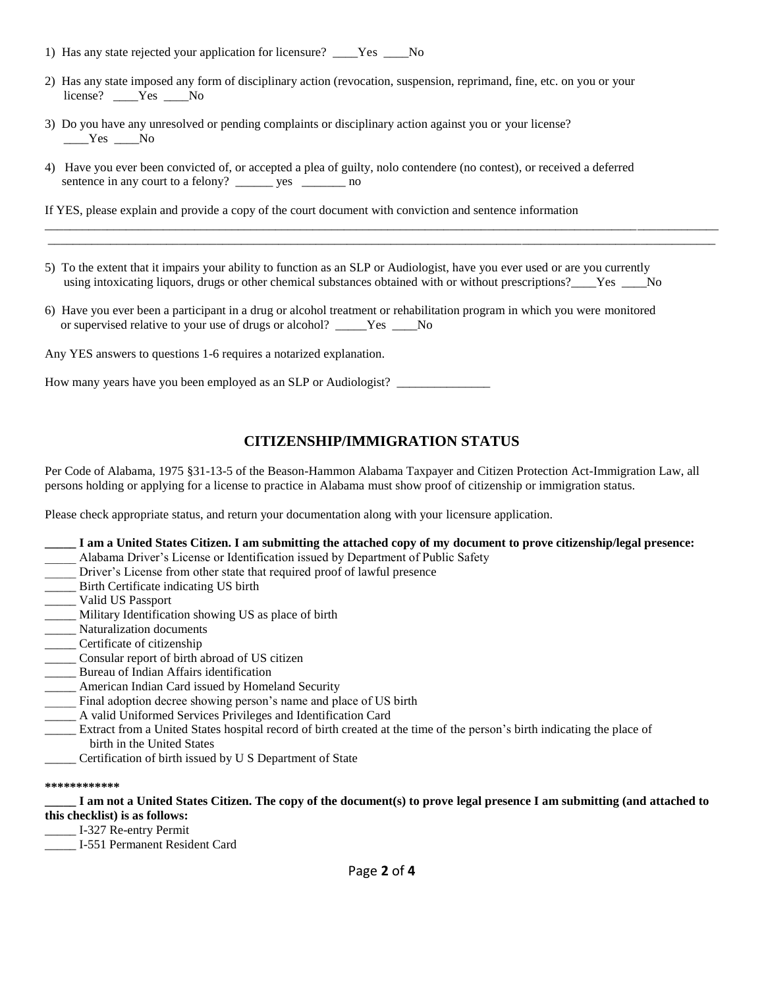- 1) Has any state rejected your application for licensure? \_\_\_\_Yes \_\_\_\_ No
- 2) Has any state imposed any form of disciplinary action (revocation, suspension, reprimand, fine, etc. on you or your license? Yes No
- 3) Do you have any unresolved or pending complaints or disciplinary action against you or your license? \_\_\_\_Yes \_\_\_\_No
- 4) Have you ever been convicted of, or accepted a plea of guilty, nolo contendere (no contest), or received a deferred sentence in any court to a felony? \_\_\_\_\_\_ yes \_\_\_\_\_\_\_\_ no

If YES, please explain and provide a copy of the court document with conviction and sentence information

5) To the extent that it impairs your ability to function as an SLP or Audiologist, have you ever used or are you currently using intoxicating liquors, drugs or other chemical substances obtained with or without prescriptions?\_\_\_\_Yes \_\_\_\_No

\_\_\_\_\_\_\_\_\_\_\_\_\_\_\_\_\_\_\_\_\_\_\_\_\_\_\_\_\_\_\_\_\_\_\_\_\_\_\_\_\_\_\_\_\_\_\_\_\_\_\_\_\_\_\_\_\_\_\_\_\_\_\_\_\_\_\_\_\_\_\_\_\_\_\_\_\_\_\_\_\_\_\_\_\_\_\_\_\_\_\_\_\_\_\_\_\_\_\_\_\_\_\_\_\_\_\_\_ \_\_\_\_\_\_\_\_\_\_\_\_\_\_\_\_\_\_\_\_\_\_\_\_\_\_\_\_\_\_\_\_\_\_\_\_\_\_\_\_\_\_\_\_\_\_\_\_\_\_\_\_\_\_\_\_\_\_\_\_\_\_\_\_\_\_\_\_\_\_\_\_\_\_\_\_\_\_\_\_\_\_\_\_\_\_\_\_\_\_\_\_\_\_\_\_\_\_\_\_\_\_\_\_\_\_\_

6) Have you ever been a participant in a drug or alcohol treatment or rehabilitation program in which you were monitored or supervised relative to your use of drugs or alcohol? \_\_\_\_\_Yes \_\_\_\_No

Any YES answers to questions 1-6 requires a notarized explanation.

How many years have you been employed as an SLP or Audiologist? \_\_\_\_\_\_\_\_\_\_\_\_\_\_\_\_

## **CITIZENSHIP/IMMIGRATION STATUS**

Per Code of Alabama, 1975 §31-13-5 of the Beason-Hammon Alabama Taxpayer and Citizen Protection Act-Immigration Law, all persons holding or applying for a license to practice in Alabama must show proof of citizenship or immigration status.

Please check appropriate status, and return your documentation along with your licensure application.

- **\_\_\_\_\_ I am a United States Citizen. I am submitting the attached copy of my document to prove citizenship/legal presence:**
- \_\_\_\_\_ Alabama Driver's License or Identification issued by Department of Public Safety
- Driver's License from other state that required proof of lawful presence
- \_\_\_\_\_ Birth Certificate indicating US birth
- \_\_\_\_\_ Valid US Passport
- \_\_\_\_\_ Military Identification showing US as place of birth
- \_\_\_\_\_ Naturalization documents
- \_\_\_\_\_ Certificate of citizenship
- \_\_\_\_\_ Consular report of birth abroad of US citizen
- \_\_\_\_\_ Bureau of Indian Affairs identification
- \_\_\_\_\_ American Indian Card issued by Homeland Security
- Final adoption decree showing person's name and place of US birth
- \_\_\_\_\_ A valid Uniformed Services Privileges and Identification Card
- \_\_\_\_\_ Extract from a United States hospital record of birth created at the time of the person's birth indicating the place of birth in the United States
- \_\_\_\_\_ Certification of birth issued by U S Department of State

#### **\*\*\*\*\*\*\*\*\*\*\*\***

**\_\_\_\_\_ I am not a United States Citizen. The copy of the document(s) to prove legal presence I am submitting (and attached to this checklist) is as follows:**

- \_\_\_\_\_ I-327 Re-entry Permit
- \_\_\_\_\_ I-551 Permanent Resident Card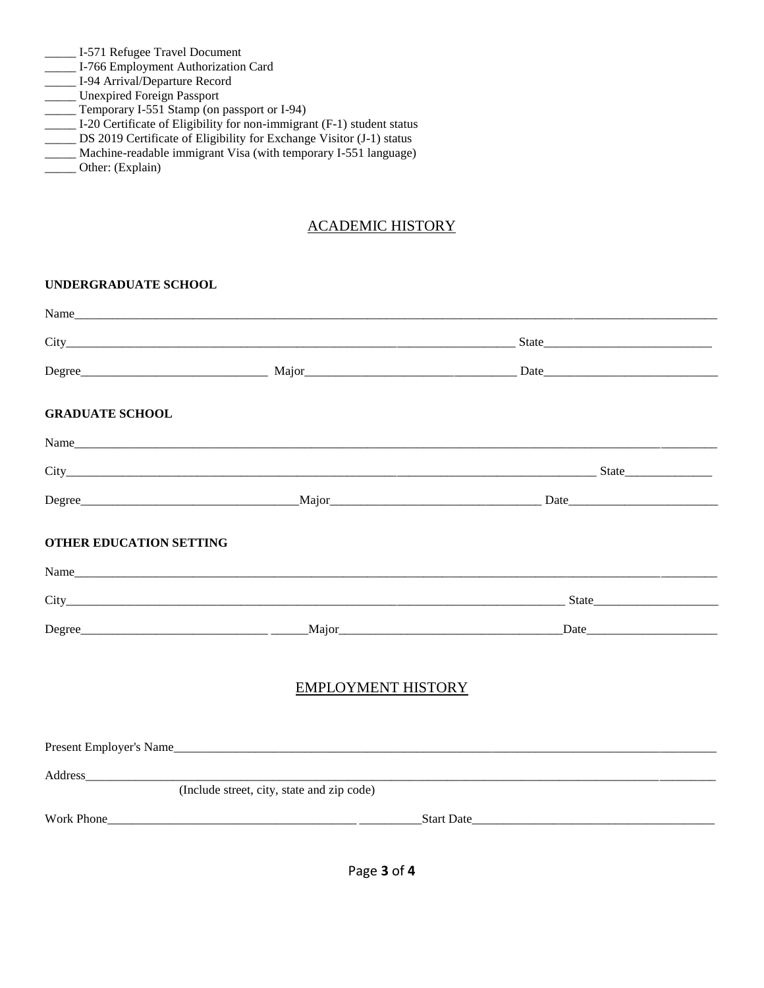- \_\_\_\_\_ I-571 Refugee Travel Document
- \_\_\_\_\_ I-766 Employment Authorization Card
- \_\_\_\_\_ I-94 Arrival/Departure Record
- \_\_\_\_\_ Unexpired Foreign Passport
- \_\_\_\_\_ Temporary I-551 Stamp (on passport or I-94)
- \_\_\_\_\_ I-20 Certificate of Eligibility for non-immigrant (F-1) student status
- \_\_\_\_\_ DS 2019 Certificate of Eligibility for Exchange Visitor (J-1) status
- \_\_\_\_\_ Machine-readable immigrant Visa (with temporary I-551 language)
- \_\_\_\_\_ Other: (Explain)

## ACADEMIC HISTORY

**UNDERGRADUATE SCHOOL**

|                                |                                            | $State$    |
|--------------------------------|--------------------------------------------|------------|
|                                |                                            |            |
| <b>GRADUATE SCHOOL</b>         |                                            |            |
|                                | Name                                       |            |
|                                |                                            |            |
|                                |                                            |            |
| <b>OTHER EDUCATION SETTING</b> |                                            |            |
|                                |                                            |            |
|                                |                                            |            |
|                                |                                            |            |
|                                | <b>EMPLOYMENT HISTORY</b>                  |            |
|                                |                                            |            |
|                                |                                            |            |
|                                | (Include street, city, state and zip code) |            |
|                                |                                            | Start Date |
|                                |                                            |            |